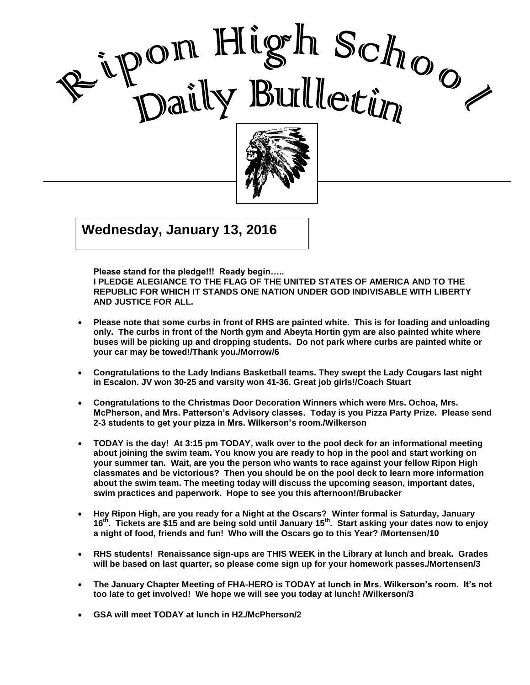



 $\overline{\mathbf{216}}$  $\begin{bmatrix} \mathbf{G} & \mathbf{G} & \mathbf{G} & \mathbf{G} & \mathbf{G} & \mathbf{G} & \mathbf{G} & \mathbf{G} & \mathbf{G} & \mathbf{G} & \mathbf{G} & \mathbf{G} & \mathbf{G} & \mathbf{G} & \mathbf{G} & \mathbf{G} & \mathbf{G} & \mathbf{G} & \mathbf{G} & \mathbf{G} & \mathbf{G} & \mathbf{G} & \mathbf{G} & \mathbf{G} & \mathbf{G} & \mathbf{G} & \mathbf{G} & \mathbf{G} & \mathbf{G} & \mathbf{G} & \mathbf{$ **Wednesday, January 13, 2016**

**Please stand for the pledge!!! Ready begin…..** 

**I PLEDGE ALEGIANCE TO THE FLAG OF THE UNITED STATES OF AMERICA AND TO THE REPUBLIC FOR WHICH IT STANDS ONE NATION UNDER GOD INDIVISABLE WITH LIBERTY AND JUSTICE FOR ALL.**

I

- **Please note that some curbs in front of RHS are painted white. This is for loading and unloading only. The curbs in front of the North gym and Abeyta Hortin gym are also painted white where buses will be picking up and dropping students. Do not park where curbs are painted white or your car may be towed!/Thank you./Morrow/6**
- **Congratulations to the Lady Indians Basketball teams. They swept the Lady Cougars last night in Escalon. JV won 30-25 and varsity won 41-36. Great job girls!/Coach Stuart**
- **Congratulations to the Christmas Door Decoration Winners which were Mrs. Ochoa, Mrs. McPherson, and Mrs. Patterson's Advisory classes. Today is you Pizza Party Prize. Please send 2-3 students to get your pizza in Mrs. Wilkerson's room./Wilkerson**
- **TODAY is the day! At 3:15 pm TODAY, walk over to the pool deck for an informational meeting about joining the swim team. You know you are ready to hop in the pool and start working on your summer tan. Wait, are you the person who wants to race against your fellow Ripon High classmates and be victorious? Then you should be on the pool deck to learn more information about the swim team. The meeting today will discuss the upcoming season, important dates, swim practices and paperwork. Hope to see you this afternoon!/Brubacker**
- **Hey Ripon High, are you ready for a Night at the Oscars? Winter formal is Saturday, January 16th . Tickets are \$15 and are being sold until January 15 th. Start asking your dates now to enjoy a night of food, friends and fun! Who will the Oscars go to this Year? /Mortensen/10**
- **RHS students! Renaissance sign-ups are THIS WEEK in the Library at lunch and break. Grades will be based on last quarter, so please come sign up for your homework passes./Mortensen/3**
- **The January Chapter Meeting of FHA-HERO is TODAY at lunch in Mrs. Wilkerson's room. It's not too late to get involved! We hope we will see you today at lunch! /Wilkerson/3**
- **GSA will meet TODAY at lunch in H2./McPherson/2**